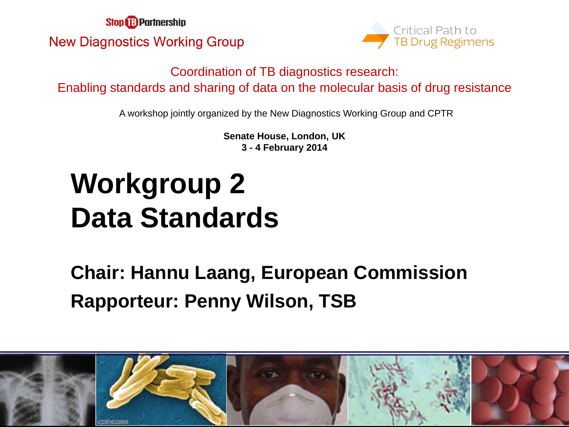**Stop & Partnership New Diagnostics Working Group** 



Coordination of TB diagnostics research: Enabling standards and sharing of data on the molecular basis of drug resistance

A workshop jointly organized by the New Diagnostics Working Group and CPTR

**Senate House, London, UK 3 - 4 February 2014**

## **Workgroup 2 Data Standards**

**Chair: Hannu Laang, European Commission Rapporteur: Penny Wilson, TSB**

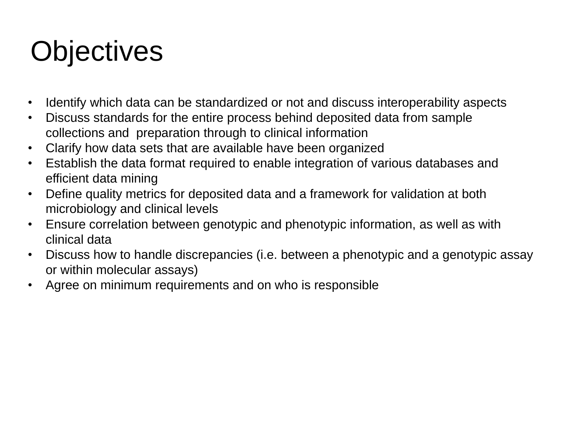### **Objectives**

- Identify which data can be standardized or not and discuss interoperability aspects
- Discuss standards for the entire process behind deposited data from sample collections and preparation through to clinical information
- Clarify how data sets that are available have been organized
- Establish the data format required to enable integration of various databases and efficient data mining
- Define quality metrics for deposited data and a framework for validation at both microbiology and clinical levels
- Ensure correlation between genotypic and phenotypic information, as well as with clinical data
- Discuss how to handle discrepancies (i.e. between a phenotypic and a genotypic assay or within molecular assays)
- Agree on minimum requirements and on who is responsible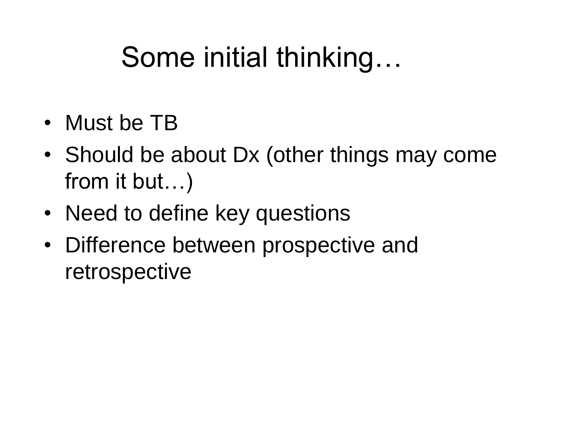#### Some initial thinking…

- Must be TB
- Should be about Dx (other things may come from it but…)
- Need to define key questions
- Difference between prospective and retrospective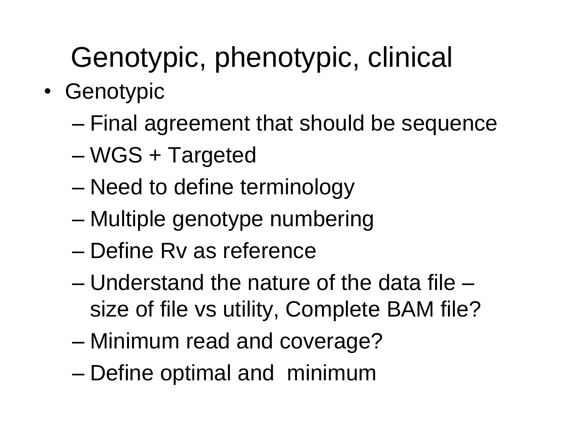# Genotypic, phenotypic, clinical

- Genotypic
	- Final agreement that should be sequence
	- WGS + Targeted
	- Need to define terminology
	- Multiple genotype numbering
	- Define Rv as reference
	- Understand the nature of the data file size of file vs utility, Complete BAM file?
	- Minimum read and coverage?
	- Define optimal and minimum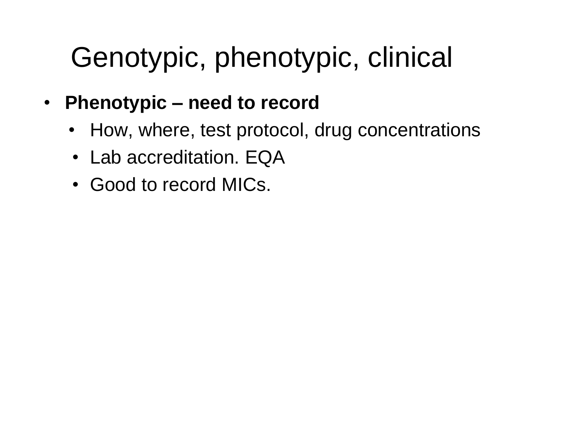#### Genotypic, phenotypic, clinical

- **Phenotypic – need to record**
	- How, where, test protocol, drug concentrations
	- Lab accreditation. EQA
	- Good to record MICs.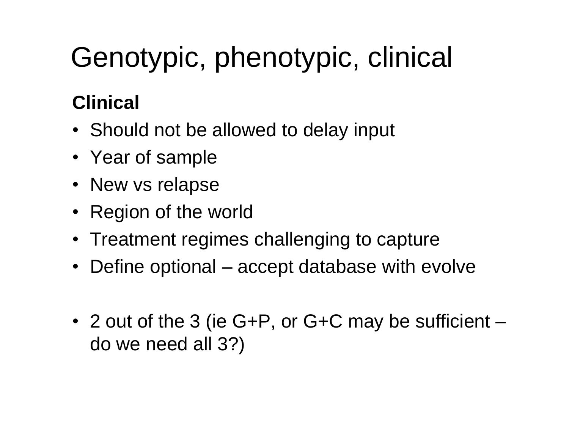# Genotypic, phenotypic, clinical

#### **Clinical**

- Should not be allowed to delay input
- Year of sample
- New vs relapse
- Region of the world
- Treatment regimes challenging to capture
- Define optional accept database with evolve
- 2 out of the 3 (ie G+P, or G+C may be sufficient do we need all 3?)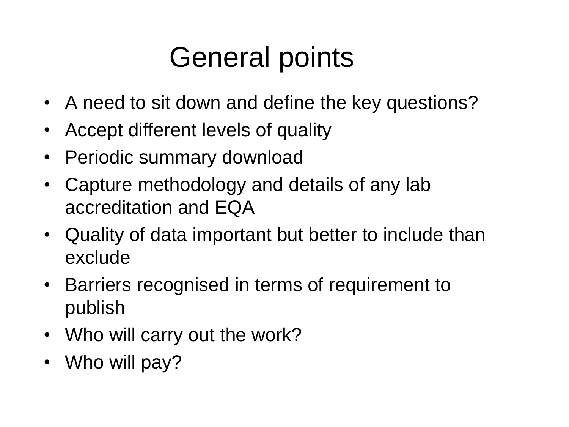## General points

- A need to sit down and define the key questions?
- Accept different levels of quality
- Periodic summary download
- Capture methodology and details of any lab accreditation and EQA
- Quality of data important but better to include than exclude
- Barriers recognised in terms of requirement to publish
- Who will carry out the work?
- Who will pay?